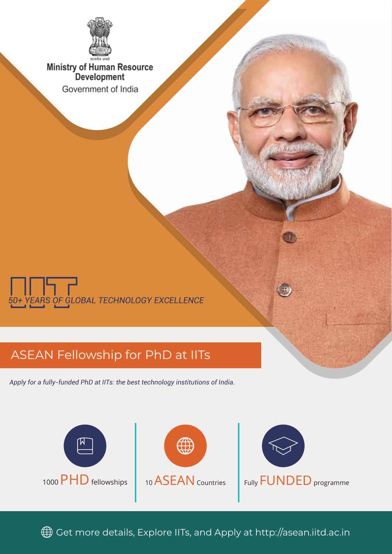

Ministry of Human Resource<br>Development Government of India



## ASEAN Fellowship for PhD at IITs

*Apply for a fully-funded PhD at IITs: the best technology institutions of India.*



Get more details, Explore IITs, and Apply at http://asean.iitd.ac.in